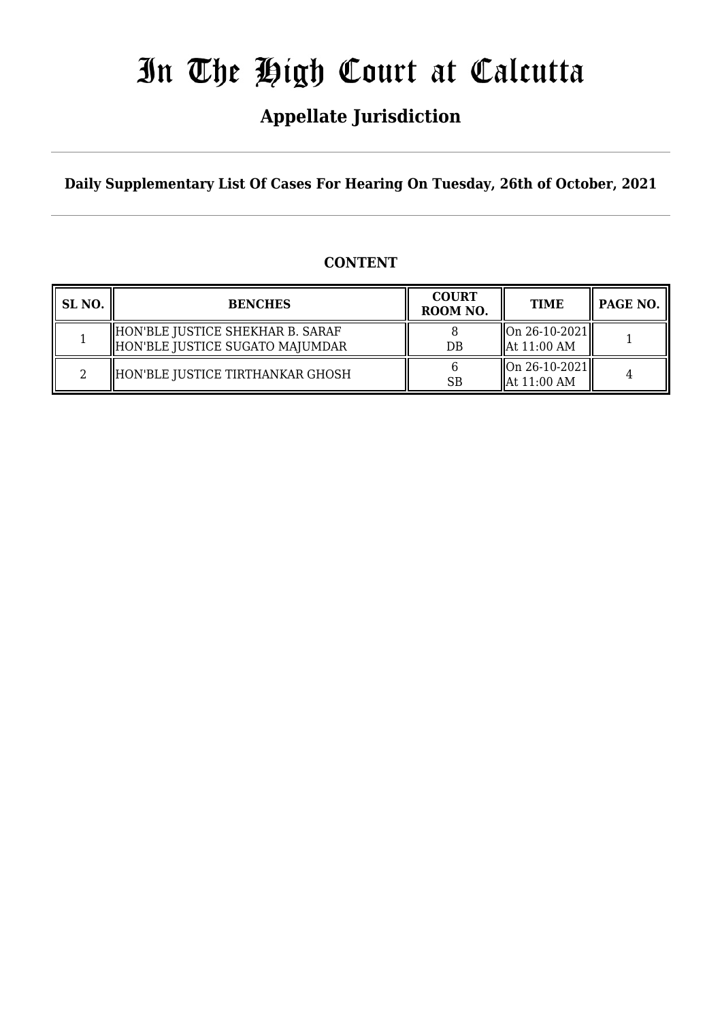# In The High Court at Calcutta

## **Appellate Jurisdiction**

**Daily Supplementary List Of Cases For Hearing On Tuesday, 26th of October, 2021**

### **CONTENT**

| SL NO. | <b>BENCHES</b>                                                      | <b>COURT</b><br>ROOM NO. | <b>TIME</b>                                                   | PAGE NO. |
|--------|---------------------------------------------------------------------|--------------------------|---------------------------------------------------------------|----------|
|        | HON'BLE JUSTICE SHEKHAR B. SARAF<br>HON'BLE JUSTICE SUGATO MAJUMDAR | $DB$                     | On 26-10-2021  <br>$\parallel$ At 11:00 AM                    |          |
|        | HON'BLE JUSTICE TIRTHANKAR GHOSH                                    | <b>SB</b>                | $\left\  \text{On } 26 - 10 - 2021 \right\ $<br>  At 11:00 AM |          |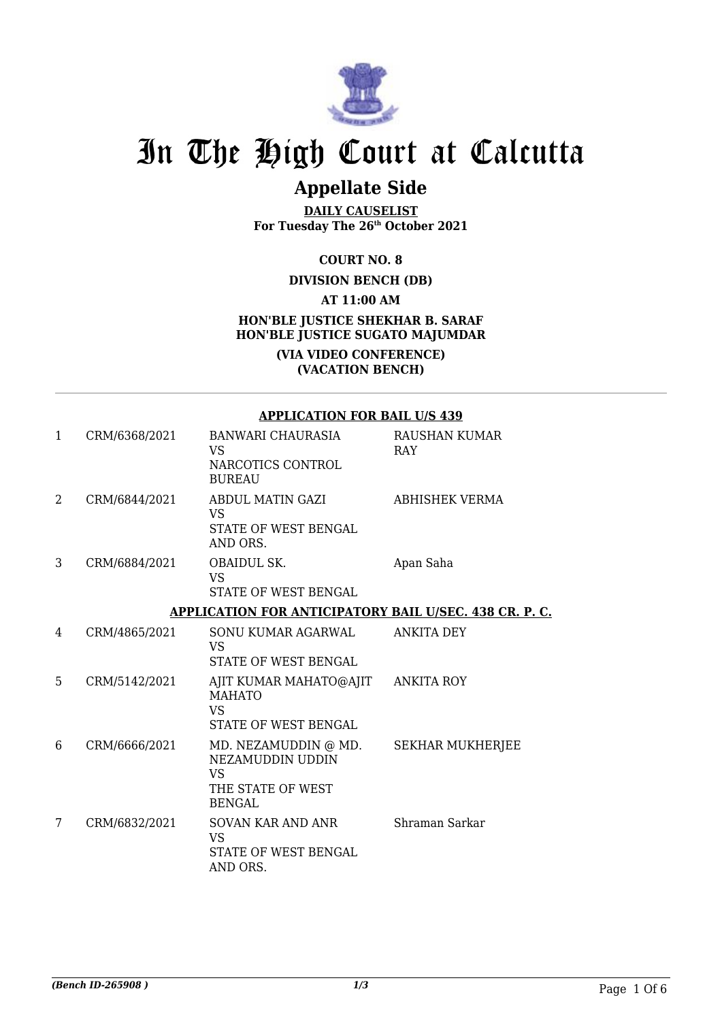

# In The High Court at Calcutta

## **Appellate Side**

**DAILY CAUSELIST For Tuesday The 26th October 2021**

**COURT NO. 8**

**DIVISION BENCH (DB)**

**AT 11:00 AM**

### **HON'BLE JUSTICE SHEKHAR B. SARAF HON'BLE JUSTICE SUGATO MAJUMDAR**

**(VIA VIDEO CONFERENCE) (VACATION BENCH)**

#### **APPLICATION FOR BAIL U/S 439**

| $\mathbf{1}$ | CRM/6368/2021 | <b>BANWARI CHAURASIA</b><br>VS<br>NARCOTICS CONTROL<br><b>BUREAU</b>                           | <b>RAUSHAN KUMAR</b><br><b>RAY</b> |
|--------------|---------------|------------------------------------------------------------------------------------------------|------------------------------------|
| 2            | CRM/6844/2021 | ABDUL MATIN GAZI<br>VS.<br>STATE OF WEST BENGAL<br>AND ORS.                                    | <b>ABHISHEK VERMA</b>              |
| 3            | CRM/6884/2021 | <b>OBAIDUL SK.</b><br><b>VS</b><br><b>STATE OF WEST BENGAL</b>                                 | Apan Saha                          |
|              |               | <b>APPLICATION FOR ANTICIPATORY BAIL U/SEC. 438 CR. P. C.</b>                                  |                                    |
| 4            | CRM/4865/2021 | SONU KUMAR AGARWAL<br><b>VS</b><br><b>STATE OF WEST BENGAL</b>                                 | <b>ANKITA DEY</b>                  |
| 5            | CRM/5142/2021 | AJIT KUMAR MAHATO@AJIT ANKITA ROY<br><b>MAHATO</b><br><b>VS</b><br><b>STATE OF WEST BENGAL</b> |                                    |
| 6            | CRM/6666/2021 | MD. NEZAMUDDIN @ MD.<br>NEZAMUDDIN UDDIN<br><b>VS</b><br>THE STATE OF WEST<br><b>BENGAL</b>    | <b>SEKHAR MUKHERJEE</b>            |
| 7            | CRM/6832/2021 | SOVAN KAR AND ANR<br><b>VS</b><br>STATE OF WEST BENGAL<br>AND ORS.                             | Shraman Sarkar                     |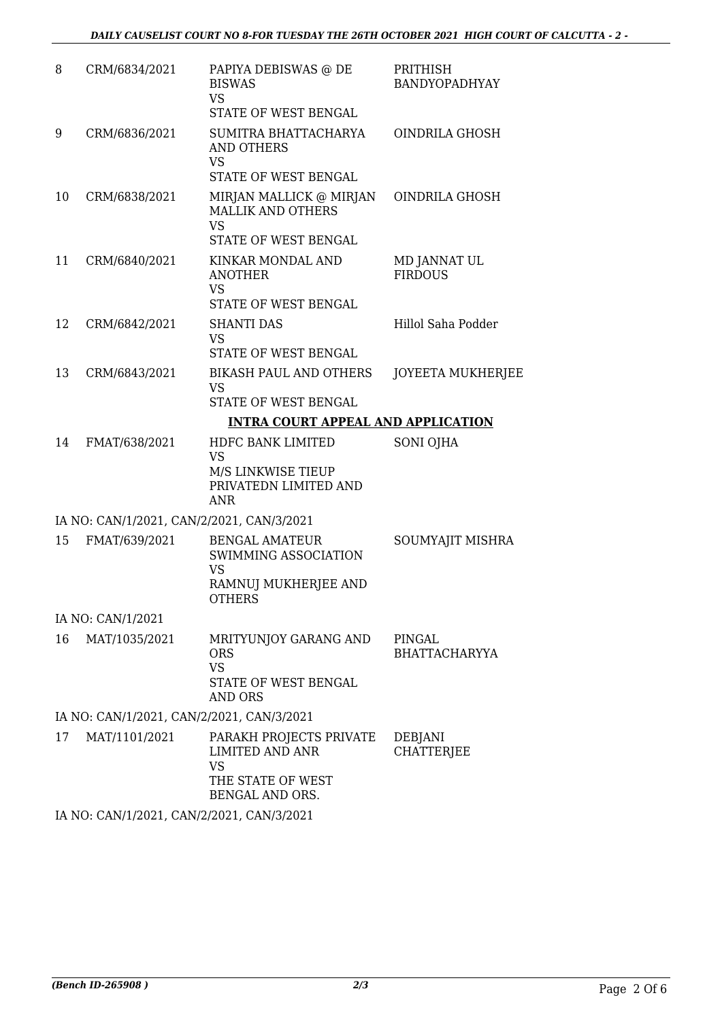| 8  | CRM/6834/2021                             | PAPIYA DEBISWAS @ DE<br><b>BISWAS</b><br><b>VS</b>                                                     | PRITHISH<br><b>BANDYOPADHYAY</b>    |
|----|-------------------------------------------|--------------------------------------------------------------------------------------------------------|-------------------------------------|
|    |                                           | STATE OF WEST BENGAL                                                                                   |                                     |
| 9  | CRM/6836/2021                             | SUMITRA BHATTACHARYA<br>AND OTHERS<br><b>VS</b>                                                        | OINDRILA GHOSH                      |
|    |                                           | STATE OF WEST BENGAL                                                                                   |                                     |
| 10 | CRM/6838/2021                             | MIRJAN MALLICK @ MIRJAN<br><b>MALLIK AND OTHERS</b><br><b>VS</b>                                       | OINDRILA GHOSH                      |
|    |                                           | STATE OF WEST BENGAL                                                                                   |                                     |
| 11 | CRM/6840/2021                             | KINKAR MONDAL AND<br><b>ANOTHER</b><br><b>VS</b>                                                       | MD JANNAT UL<br><b>FIRDOUS</b>      |
|    |                                           | <b>STATE OF WEST BENGAL</b>                                                                            |                                     |
| 12 | CRM/6842/2021                             | <b>SHANTI DAS</b><br><b>VS</b><br>STATE OF WEST BENGAL                                                 | Hillol Saha Podder                  |
| 13 | CRM/6843/2021                             | <b>BIKASH PAUL AND OTHERS</b><br><b>VS</b>                                                             | <b>JOYEETA MUKHERJEE</b>            |
|    |                                           | <b>STATE OF WEST BENGAL</b><br><b>INTRA COURT APPEAL AND APPLICATION</b>                               |                                     |
|    |                                           |                                                                                                        |                                     |
| 14 | FMAT/638/2021                             | HDFC BANK LIMITED<br>VS                                                                                | SONI OJHA                           |
|    |                                           | M/S LINKWISE TIEUP<br>PRIVATEDN LIMITED AND<br><b>ANR</b>                                              |                                     |
|    | IA NO: CAN/1/2021, CAN/2/2021, CAN/3/2021 |                                                                                                        |                                     |
| 15 | FMAT/639/2021                             | <b>BENGAL AMATEUR</b><br>SWIMMING ASSOCIATION<br>VS                                                    | SOUMYAJIT MISHRA                    |
|    |                                           | RAMNUJ MUKHERJEE AND<br><b>OTHERS</b>                                                                  |                                     |
|    | IA NO: CAN/1/2021                         |                                                                                                        |                                     |
| 16 | MAT/1035/2021                             | MRITYUNJOY GARANG AND<br><b>ORS</b><br><b>VS</b>                                                       | PINGAL<br><b>BHATTACHARYYA</b>      |
|    |                                           | STATE OF WEST BENGAL<br><b>AND ORS</b>                                                                 |                                     |
|    | IA NO: CAN/1/2021, CAN/2/2021, CAN/3/2021 |                                                                                                        |                                     |
| 17 | MAT/1101/2021                             | PARAKH PROJECTS PRIVATE<br><b>LIMITED AND ANR</b><br><b>VS</b><br>THE STATE OF WEST<br>BENGAL AND ORS. | <b>DEBJANI</b><br><b>CHATTERJEE</b> |
|    |                                           |                                                                                                        |                                     |

IA NO: CAN/1/2021, CAN/2/2021, CAN/3/2021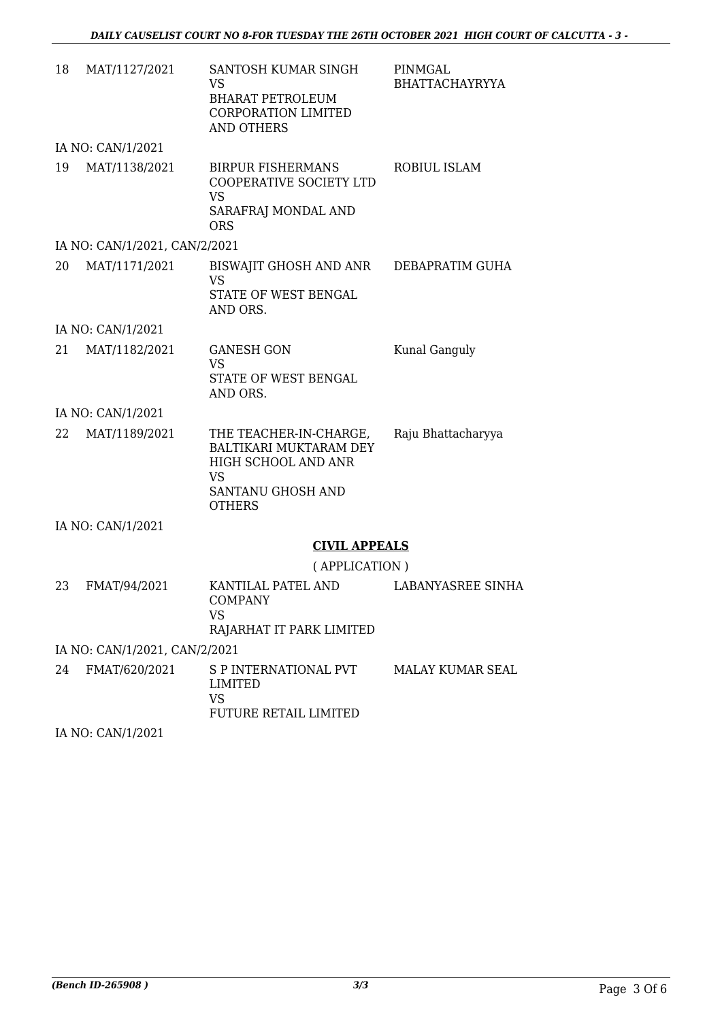| 18 | MAT/1127/2021                 | SANTOSH KUMAR SINGH<br><b>VS</b><br><b>BHARAT PETROLEUM</b><br><b>CORPORATION LIMITED</b><br><b>AND OTHERS</b>                    | PINMGAL<br><b>BHATTACHAYRYYA</b> |
|----|-------------------------------|-----------------------------------------------------------------------------------------------------------------------------------|----------------------------------|
|    | IA NO: CAN/1/2021             |                                                                                                                                   |                                  |
| 19 | MAT/1138/2021                 | <b>BIRPUR FISHERMANS</b><br>COOPERATIVE SOCIETY LTD<br><b>VS</b><br>SARAFRAJ MONDAL AND<br><b>ORS</b>                             | ROBIUL ISLAM                     |
|    | IA NO: CAN/1/2021, CAN/2/2021 |                                                                                                                                   |                                  |
| 20 | MAT/1171/2021                 | BISWAJIT GHOSH AND ANR<br><b>VS</b><br><b>STATE OF WEST BENGAL</b><br>AND ORS.                                                    | DEBAPRATIM GUHA                  |
|    | IA NO: CAN/1/2021             |                                                                                                                                   |                                  |
| 21 | MAT/1182/2021                 | <b>GANESH GON</b><br><b>VS</b><br>STATE OF WEST BENGAL<br>AND ORS.                                                                | Kunal Ganguly                    |
|    | IA NO: CAN/1/2021             |                                                                                                                                   |                                  |
| 22 | MAT/1189/2021                 | THE TEACHER-IN-CHARGE,<br><b>BALTIKARI MUKTARAM DEY</b><br>HIGH SCHOOL AND ANR<br><b>VS</b><br>SANTANU GHOSH AND<br><b>OTHERS</b> | Raju Bhattacharyya               |
|    | IA NO: CAN/1/2021             |                                                                                                                                   |                                  |
|    |                               | <b>CIVIL APPEALS</b>                                                                                                              |                                  |
|    |                               | (APPLICATION)                                                                                                                     |                                  |
| 23 | FMAT/94/2021                  | KANTILAL PATEL AND<br><b>COMPANY</b>                                                                                              | <b>LABANYASREE SINHA</b>         |

RAJARHAT IT PARK LIMITED

VS

IA NO: CAN/1/2021, CAN/2/2021 24 FMAT/620/2021 S P INTERNATIONAL PVT LIMITED VS FUTURE RETAIL LIMITED MALAY KUMAR SEAL

IA NO: CAN/1/2021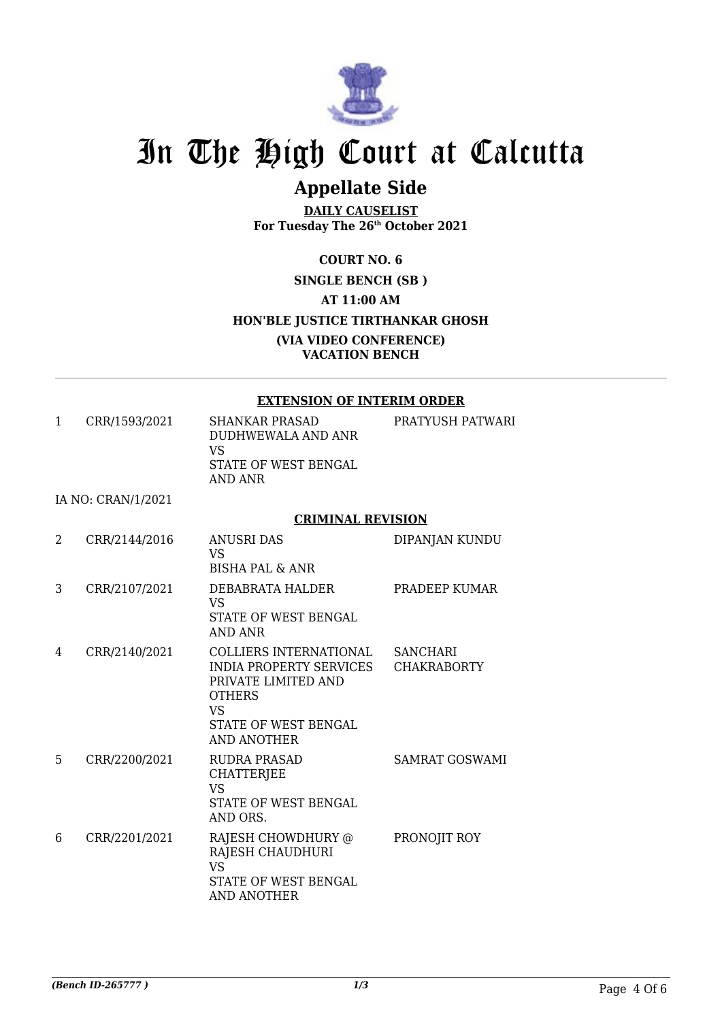

# In The High Court at Calcutta

## **Appellate Side**

**DAILY CAUSELIST For Tuesday The 26th October 2021**

### **COURT NO. 6 SINGLE BENCH (SB ) AT 11:00 AM HON'BLE JUSTICE TIRTHANKAR GHOSH (VIA VIDEO CONFERENCE) VACATION BENCH**

#### **EXTENSION OF INTERIM ORDER**

| CRR/1593/2021 | SHANKAR PRASAD<br>DUDHWEWALA AND ANR  | PRATYUSH PATWARI |
|---------------|---------------------------------------|------------------|
|               | VS<br>STATE OF WEST BENGAL<br>AND ANR |                  |

IA NO: CRAN/1/2021

#### **CRIMINAL REVISION**

| 2 | CRR/2144/2016 | ANUSRI DAS<br>VS.<br><b>BISHA PAL &amp; ANR</b>                                                                                                | DIPANJAN KUNDU                        |
|---|---------------|------------------------------------------------------------------------------------------------------------------------------------------------|---------------------------------------|
| 3 | CRR/2107/2021 | DEBABRATA HALDER<br>VS.<br>STATE OF WEST BENGAL<br>AND ANR                                                                                     | PRADEEP KUMAR                         |
| 4 | CRR/2140/2021 | COLLIERS INTERNATIONAL<br>INDIA PROPERTY SERVICES<br>PRIVATE LIMITED AND<br><b>OTHERS</b><br>VS.<br>STATE OF WEST BENGAL<br><b>AND ANOTHER</b> | <b>SANCHARI</b><br><b>CHAKRABORTY</b> |
| 5 | CRR/2200/2021 | <b>RUDRA PRASAD</b><br><b>CHATTERJEE</b><br><b>VS</b><br>STATE OF WEST BENGAL<br>AND ORS.                                                      | SAMRAT GOSWAMI                        |
| 6 | CRR/2201/2021 | RAJESH CHOWDHURY @<br>RAJESH CHAUDHURI<br><b>VS</b><br>STATE OF WEST BENGAL<br>AND ANOTHER                                                     | PRONOJIT ROY                          |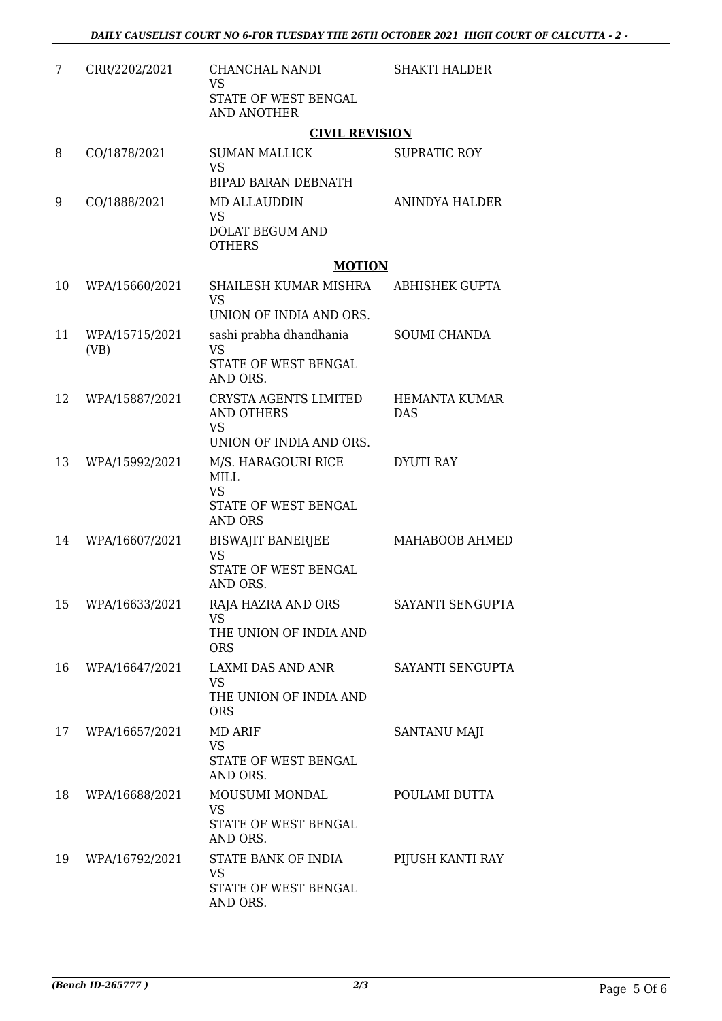| 7  | CRR/2202/2021          | CHANCHAL NANDI<br><b>VS</b>                                                        | <b>SHAKTI HALDER</b>               |  |
|----|------------------------|------------------------------------------------------------------------------------|------------------------------------|--|
|    |                        | STATE OF WEST BENGAL<br><b>AND ANOTHER</b>                                         |                                    |  |
|    |                        | <b>CIVIL REVISION</b>                                                              |                                    |  |
| 8  | CO/1878/2021           | <b>SUMAN MALLICK</b><br><b>VS</b><br><b>BIPAD BARAN DEBNATH</b>                    | SUPRATIC ROY                       |  |
| 9  | CO/1888/2021           | <b>MD ALLAUDDIN</b><br><b>VS</b>                                                   | <b>ANINDYA HALDER</b>              |  |
|    |                        | DOLAT BEGUM AND<br><b>OTHERS</b>                                                   |                                    |  |
|    |                        | <b>MOTION</b>                                                                      |                                    |  |
| 10 | WPA/15660/2021         | SHAILESH KUMAR MISHRA<br><b>VS</b><br>UNION OF INDIA AND ORS.                      | ABHISHEK GUPTA                     |  |
| 11 | WPA/15715/2021<br>(VB) | sashi prabha dhandhania<br><b>VS</b><br><b>STATE OF WEST BENGAL</b><br>AND ORS.    | <b>SOUMI CHANDA</b>                |  |
| 12 | WPA/15887/2021         | CRYSTA AGENTS LIMITED<br><b>AND OTHERS</b><br><b>VS</b><br>UNION OF INDIA AND ORS. | <b>HEMANTA KUMAR</b><br><b>DAS</b> |  |
| 13 | WPA/15992/2021         | M/S. HARAGOURI RICE<br>MILL<br><b>VS</b><br>STATE OF WEST BENGAL<br><b>AND ORS</b> | <b>DYUTI RAY</b>                   |  |
| 14 | WPA/16607/2021         | BISWAJIT BANERJEE<br><b>VS</b><br><b>STATE OF WEST BENGAL</b><br>AND ORS.          | MAHABOOB AHMED                     |  |
| 15 | WPA/16633/2021         | RAJA HAZRA AND ORS<br>VS<br>THE UNION OF INDIA AND<br><b>ORS</b>                   | SAYANTI SENGUPTA                   |  |
| 16 | WPA/16647/2021         | LAXMI DAS AND ANR<br><b>VS</b><br>THE UNION OF INDIA AND<br><b>ORS</b>             | SAYANTI SENGUPTA                   |  |
| 17 | WPA/16657/2021         | MD ARIF<br><b>VS</b><br>STATE OF WEST BENGAL<br>AND ORS.                           | SANTANU MAJI                       |  |
| 18 | WPA/16688/2021         | MOUSUMI MONDAL<br><b>VS</b><br>STATE OF WEST BENGAL<br>AND ORS.                    | POULAMI DUTTA                      |  |
| 19 | WPA/16792/2021         | STATE BANK OF INDIA<br><b>VS</b><br>STATE OF WEST BENGAL<br>AND ORS.               | PIJUSH KANTI RAY                   |  |